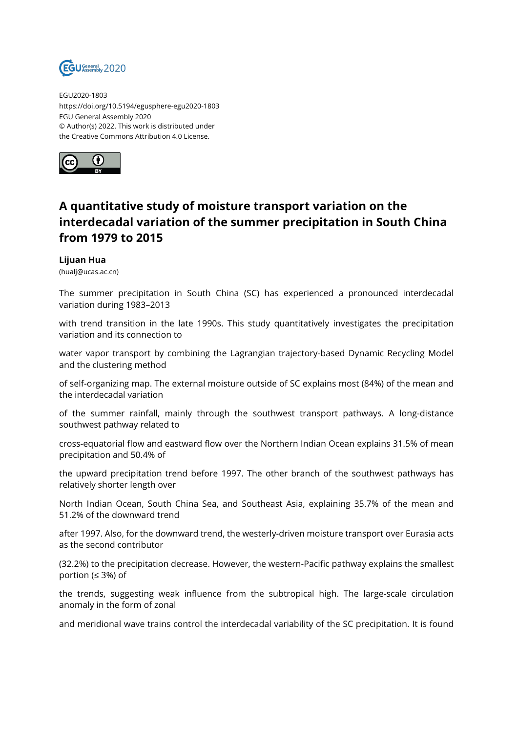

EGU2020-1803 https://doi.org/10.5194/egusphere-egu2020-1803 EGU General Assembly 2020 © Author(s) 2022. This work is distributed under the Creative Commons Attribution 4.0 License.



## **A quantitative study of moisture transport variation on the interdecadal variation of the summer precipitation in South China from 1979 to 2015**

## **Lijuan Hua**

(hualj@ucas.ac.cn)

The summer precipitation in South China (SC) has experienced a pronounced interdecadal variation during 1983–2013

with trend transition in the late 1990s. This study quantitatively investigates the precipitation variation and its connection to

water vapor transport by combining the Lagrangian trajectory-based Dynamic Recycling Model and the clustering method

of self-organizing map. The external moisture outside of SC explains most (84%) of the mean and the interdecadal variation

of the summer rainfall, mainly through the southwest transport pathways. A long-distance southwest pathway related to

cross-equatorial flow and eastward flow over the Northern Indian Ocean explains 31.5% of mean precipitation and 50.4% of

the upward precipitation trend before 1997. The other branch of the southwest pathways has relatively shorter length over

North Indian Ocean, South China Sea, and Southeast Asia, explaining 35.7% of the mean and 51.2% of the downward trend

after 1997. Also, for the downward trend, the westerly-driven moisture transport over Eurasia acts as the second contributor

(32.2%) to the precipitation decrease. However, the western-Pacific pathway explains the smallest portion (≤ 3%) of

the trends, suggesting weak influence from the subtropical high. The large-scale circulation anomaly in the form of zonal

and meridional wave trains control the interdecadal variability of the SC precipitation. It is found